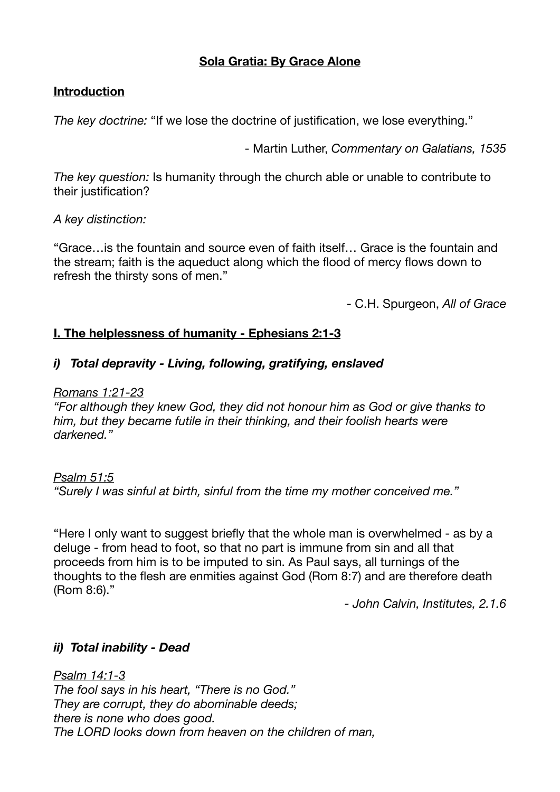# **Sola Gratia: By Grace Alone**

### **Introduction**

*The key doctrine:* "If we lose the doctrine of justification, we lose everything."

- Martin Luther, *Commentary on Galatians, 1535* 

*The key question:* Is humanity through the church able or unable to contribute to their justification?

#### *A key distinction:*

"Grace…is the fountain and source even of faith itself… Grace is the fountain and the stream; faith is the aqueduct along which the flood of mercy flows down to refresh the thirsty sons of men."

- C.H. Spurgeon, *All of Grace* 

### **I. The helplessness of humanity - Ephesians 2:1-3**

### *i) Total depravity - Living, following, gratifying, enslaved*

#### *Romans 1:21-23*

*"For although they knew God, they did not honour him as God or give thanks to him, but they became futile in their thinking, and their foolish hearts were darkened."* 

### *Psalm 51:5*

*"Surely I was sinful at birth, sinful from the time my mother conceived me."* 

"Here I only want to suggest briefly that the whole man is overwhelmed - as by a deluge - from head to foot, so that no part is immune from sin and all that proceeds from him is to be imputed to sin. As Paul says, all turnings of the thoughts to the flesh are enmities against God (Rom 8:7) and are therefore death (Rom 8:6)."

*- John Calvin, Institutes, 2.1.6* 

# *ii) Total inability - Dead*

*Psalm 14:1-3 The fool says in his heart, "There is no God." They are corrupt, they do abominable deeds; there is none who does good. The LORD looks down from heaven on the children of man,*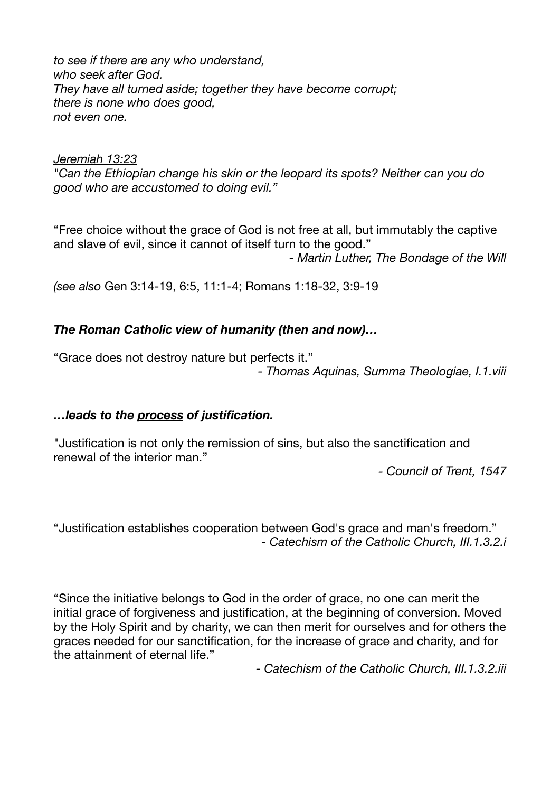*to see if there are any who understand, who seek after God. They have all turned aside; together they have become corrupt; there is none who does good, not even one.* 

*Jeremiah 13:23 "Can the Ethiopian change his skin or the leopard its spots? Neither can you do good who are accustomed to doing evil."* 

"Free choice without the grace of God is not free at all, but immutably the captive and slave of evil, since it cannot of itself turn to the good." *- Martin Luther, The Bondage of the Will* 

*(see also* Gen 3:14-19, 6:5, 11:1-4; Romans 1:18-32, 3:9-19

### *The Roman Catholic view of humanity (then and now)…*

"Grace does not destroy nature but perfects it."

*- Thomas Aquinas, Summa Theologiae, I.1.viii* 

### *…leads to the process of justification.*

"Justification is not only the remission of sins, but also the sanctification and renewal of the interior man."

*- Council of Trent, 1547* 

"Justification establishes cooperation between God's grace and man's freedom." *- Catechism of the Catholic Church, III.1.3.2.i* 

"Since the initiative belongs to God in the order of grace, no one can merit the initial grace of forgiveness and justification, at the beginning of conversion. Moved by the Holy Spirit and by charity, we can then merit for ourselves and for others the graces needed for our sanctification, for the increase of grace and charity, and for the attainment of eternal life."

*- Catechism of the Catholic Church, III.1.3.2.iii*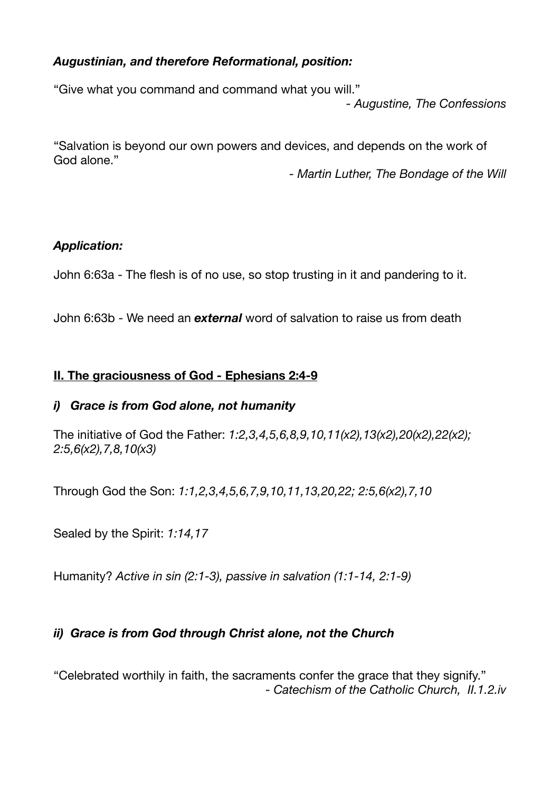# *Augustinian, and therefore Reformational, position:*

"Give what you command and command what you will." *- Augustine, The Confessions* 

"Salvation is beyond our own powers and devices, and depends on the work of God alone."

*- Martin Luther, The Bondage of the Will* 

### *Application:*

John 6:63a - The flesh is of no use, so stop trusting in it and pandering to it.

John 6:63b - We need an *external* word of salvation to raise us from death

### **II. The graciousness of God - Ephesians 2:4-9**

### *i) Grace is from God alone, not humanity*

The initiative of God the Father: *1:2,3,4,5,6,8,9,10,11(x2),13(x2),20(x2),22(x2); 2:5,6(x2),7,8,10(x3)* 

Through God the Son: *1:1,2,3,4,5,6,7,9,10,11,13,20,22; 2:5,6(x2),7,10* 

Sealed by the Spirit: *1:14,17* 

Humanity? *Active in sin (2:1-3), passive in salvation (1:1-14, 2:1-9)* 

# *ii) Grace is from God through Christ alone, not the Church*

"Celebrated worthily in faith, the sacraments confer the grace that they signify." *- Catechism of the Catholic Church, II.1.2.iv*